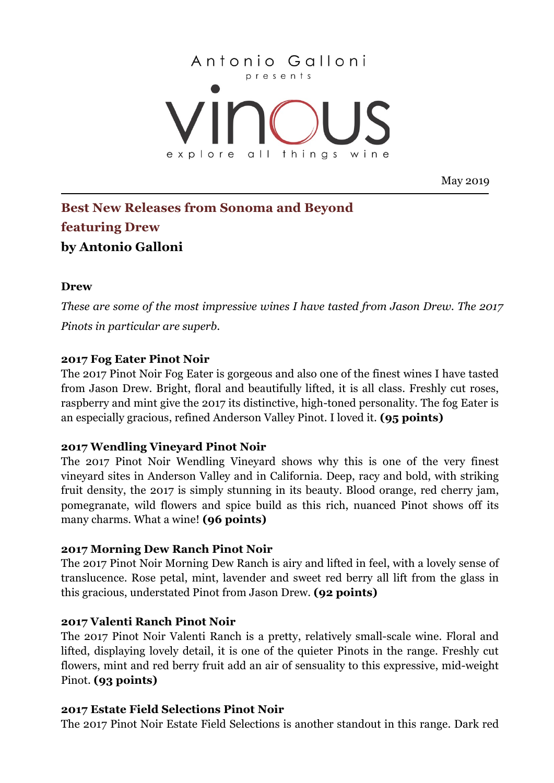

May 2019

# **Best New Releases from Sonoma and Beyond featuring Drew by Antonio Galloni**

#### **Drew**

*These are some of the most impressive wines I have tasted from Jason Drew. The 2017 Pinots in particular are superb.*

## **2017 Fog Eater Pinot Noir**

The 2017 Pinot Noir Fog Eater is gorgeous and also one of the finest wines I have tasted from Jason Drew. Bright, floral and beautifully lifted, it is all class. Freshly cut roses, raspberry and mint give the 2017 its distinctive, high-toned personality. The fog Eater is an especially gracious, refined Anderson Valley Pinot. I loved it. **(95 points)**

# **2017 Wendling Vineyard Pinot Noir**

The 2017 Pinot Noir Wendling Vineyard shows why this is one of the very finest vineyard sites in Anderson Valley and in California. Deep, racy and bold, with striking fruit density, the 2017 is simply stunning in its beauty. Blood orange, red cherry jam, pomegranate, wild flowers and spice build as this rich, nuanced Pinot shows off its many charms. What a wine! **(96 points)**

#### **2017 Morning Dew Ranch Pinot Noir**

The 2017 Pinot Noir Morning Dew Ranch is airy and lifted in feel, with a lovely sense of translucence. Rose petal, mint, lavender and sweet red berry all lift from the glass in this gracious, understated Pinot from Jason Drew. **(92 points)**

#### **2017 Valenti Ranch Pinot Noir**

The 2017 Pinot Noir Valenti Ranch is a pretty, relatively small-scale wine. Floral and lifted, displaying lovely detail, it is one of the quieter Pinots in the range. Freshly cut flowers, mint and red berry fruit add an air of sensuality to this expressive, mid-weight Pinot. **(93 points)**

#### **2017 Estate Field Selections Pinot Noir**

The 2017 Pinot Noir Estate Field Selections is another standout in this range. Dark red